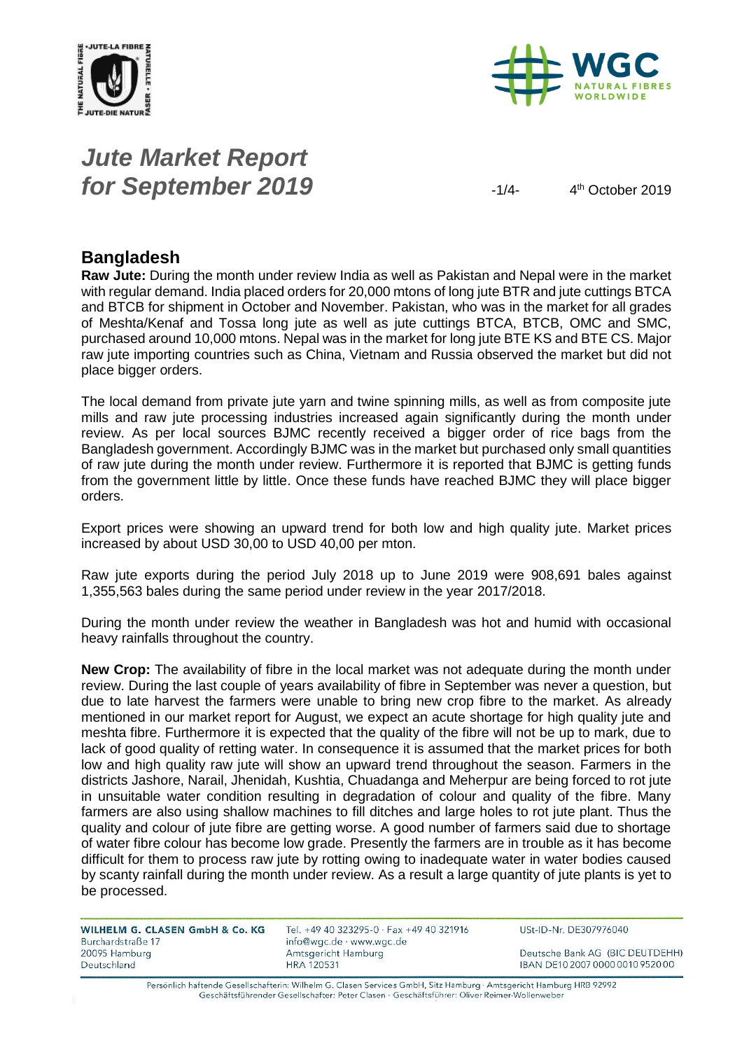



# *Jute Market Report for September 2019*  $\frac{1}{4}$

 $4<sup>th</sup>$  October 2019

#### **Bangladesh**

**Raw Jute:** During the month under review India as well as Pakistan and Nepal were in the market with regular demand. India placed orders for 20,000 mtons of long jute BTR and jute cuttings BTCA and BTCB for shipment in October and November. Pakistan, who was in the market for all grades of Meshta/Kenaf and Tossa long jute as well as jute cuttings BTCA, BTCB, OMC and SMC, purchased around 10,000 mtons. Nepal was in the market for long jute BTE KS and BTE CS. Major raw jute importing countries such as China, Vietnam and Russia observed the market but did not place bigger orders.

The local demand from private jute yarn and twine spinning mills, as well as from composite jute mills and raw jute processing industries increased again significantly during the month under review. As per local sources BJMC recently received a bigger order of rice bags from the Bangladesh government. Accordingly BJMC was in the market but purchased only small quantities of raw jute during the month under review. Furthermore it is reported that BJMC is getting funds from the government little by little. Once these funds have reached BJMC they will place bigger orders.

Export prices were showing an upward trend for both low and high quality jute. Market prices increased by about USD 30,00 to USD 40,00 per mton.

Raw jute exports during the period July 2018 up to June 2019 were 908,691 bales against 1,355,563 bales during the same period under review in the year 2017/2018.

During the month under review the weather in Bangladesh was hot and humid with occasional heavy rainfalls throughout the country.

**New Crop:** The availability of fibre in the local market was not adequate during the month under review. During the last couple of years availability of fibre in September was never a question, but due to late harvest the farmers were unable to bring new crop fibre to the market. As already mentioned in our market report for August, we expect an acute shortage for high quality jute and meshta fibre. Furthermore it is expected that the quality of the fibre will not be up to mark, due to lack of good quality of retting water. In consequence it is assumed that the market prices for both low and high quality raw jute will show an upward trend throughout the season. Farmers in the districts Jashore, Narail, Jhenidah, Kushtia, Chuadanga and Meherpur are being forced to rot jute in unsuitable water condition resulting in degradation of colour and quality of the fibre. Many farmers are also using shallow machines to fill ditches and large holes to rot jute plant. Thus the quality and colour of jute fibre are getting worse. A good number of farmers said due to shortage of water fibre colour has become low grade. Presently the farmers are in trouble as it has become difficult for them to process raw jute by rotting owing to inadequate water in water bodies caused by scanty rainfall during the month under review. As a result a large quantity of jute plants is yet to be processed.

| WILHELM G. CLASEN GmbH & Co. KG | Tel. $+4o$    |
|---------------------------------|---------------|
| Burchardstraße 17               | info@w        |
| 20095 Hamburg                   | Amtsge        |
| Deutschland                     | <b>HRA 12</b> |

9 40 323295-0 · Fax +49 40 321916 gc.de · www.wgc.de ericht Hamburg 0531

USt-ID-Nr. DE307976040

Deutsche Bank AG (BIC DEUTDEHH) IBAN DE10 2007 0000 0010 9520 00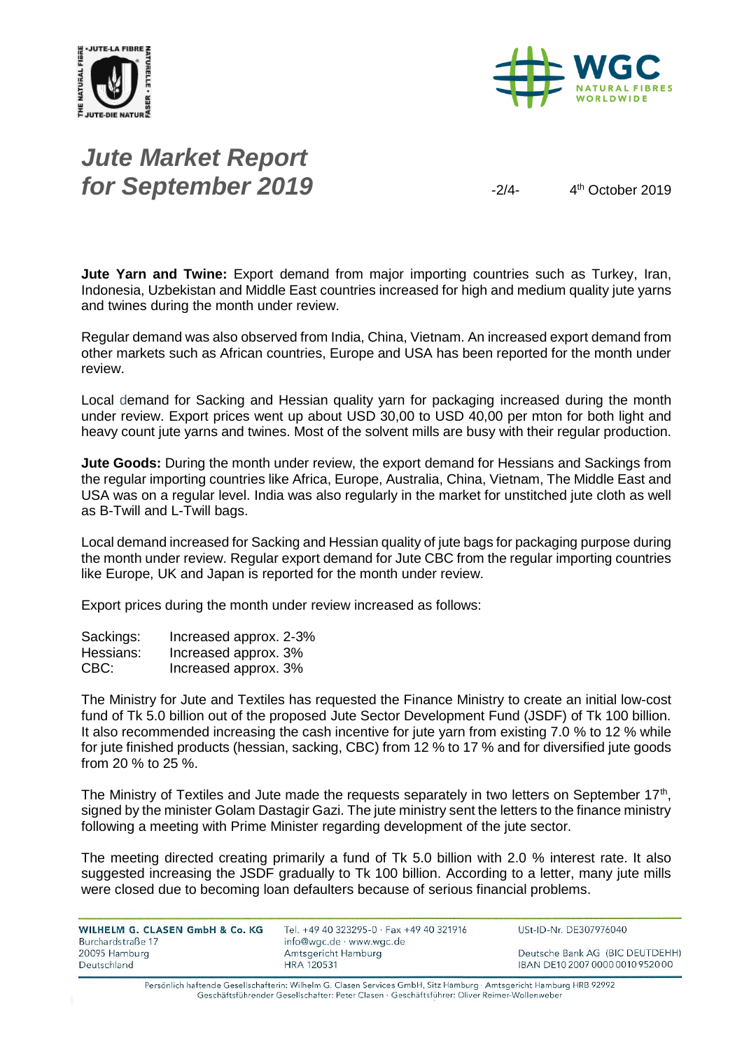



## *Jute Market Report for September 2019*  $\frac{2}{4}$

 $4<sup>th</sup>$  October 2019

**Jute Yarn and Twine:** Export demand from major importing countries such as Turkey, Iran, Indonesia, Uzbekistan and Middle East countries increased for high and medium quality jute yarns and twines during the month under review.

Regular demand was also observed from India, China, Vietnam. An increased export demand from other markets such as African countries, Europe and USA has been reported for the month under review.

Local demand for Sacking and Hessian quality yarn for packaging increased during the month under review. Export prices went up about USD 30,00 to USD 40,00 per mton for both light and heavy count jute yarns and twines. Most of the solvent mills are busy with their regular production.

**Jute Goods:** During the month under review, the export demand for Hessians and Sackings from the regular importing countries like Africa, Europe, Australia, China, Vietnam, The Middle East and USA was on a regular level. India was also regularly in the market for unstitched jute cloth as well as B-Twill and L-Twill bags.

Local demand increased for Sacking and Hessian quality of jute bags for packaging purpose during the month under review. Regular export demand for Jute CBC from the regular importing countries like Europe, UK and Japan is reported for the month under review.

Export prices during the month under review increased as follows:

| Sackings: | Increased approx. 2-3% |
|-----------|------------------------|
| Hessians: | Increased approx. 3%   |
| CBC:      | Increased approx. 3%   |

The Ministry for Jute and Textiles has requested the Finance Ministry to create an initial low-cost fund of Tk 5.0 billion out of the proposed Jute Sector Development Fund (JSDF) of Tk 100 billion. It also recommended increasing the cash incentive for jute yarn from existing 7.0 % to 12 % while for jute finished products (hessian, sacking, CBC) from 12 % to 17 % and for diversified jute goods from 20 % to 25 %.

The Ministry of Textiles and Jute made the requests separately in two letters on September  $17<sup>th</sup>$ , signed by the minister Golam Dastagir Gazi. The jute ministry sent the letters to the finance ministry following a meeting with Prime Minister regarding development of the jute sector.

The meeting directed creating primarily a fund of Tk 5.0 billion with 2.0 % interest rate. It also suggested increasing the JSDF gradually to Tk 100 billion. According to a letter, many jute mills were closed due to becoming loan defaulters because of serious financial problems.

| WILHELM G. CLASEN GmbH & Co. KG<br>Burchardstraße 17 | Tel. +49 40 323295-0 · Fax +49 40 321916<br>info@wgc.de · www.wgc.de | USt-ID-Nr. DE307976040           |
|------------------------------------------------------|----------------------------------------------------------------------|----------------------------------|
| 20095 Hamburg                                        | Amtsgericht Hamburg                                                  | Deutsche Bank AG (BIC DEUTDEHH)  |
| Deutschland                                          | <b>HRA 120531</b>                                                    | IBAN DE10 2007 0000 0010 9520 00 |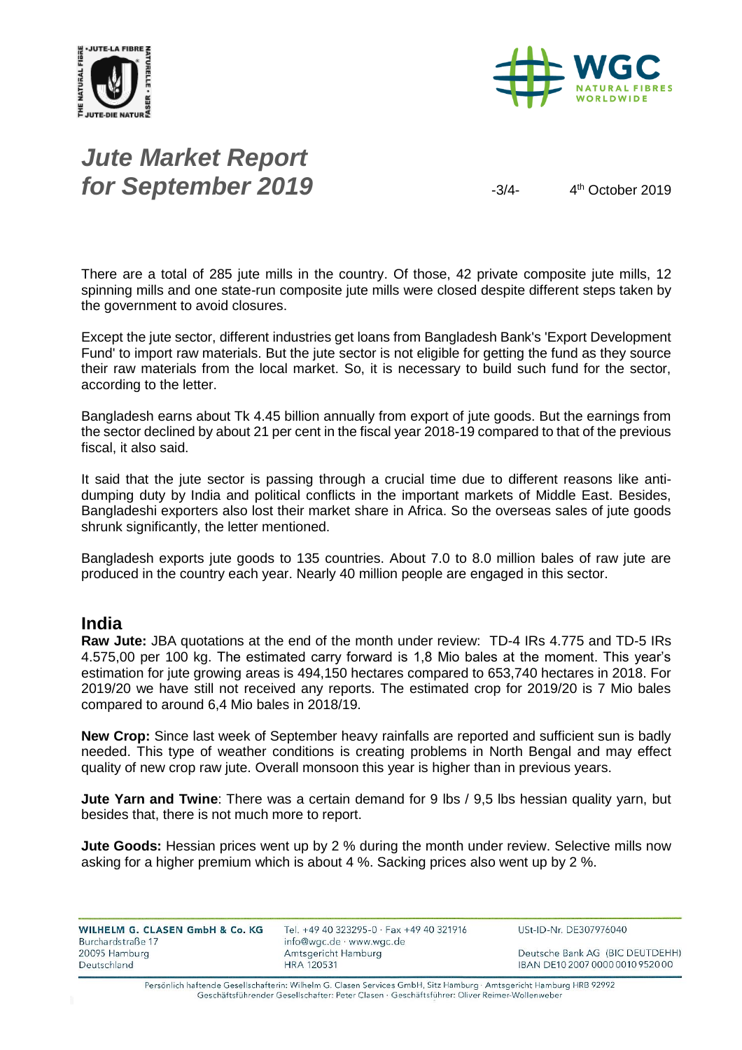



# *Jute Market Report for September 2019*  $\frac{3}{4}$

4<sup>th</sup> October 2019

There are a total of 285 jute mills in the country. Of those, 42 private composite jute mills, 12 spinning mills and one state-run composite jute mills were closed despite different steps taken by the government to avoid closures.

Except the jute sector, different industries get loans from Bangladesh Bank's 'Export Development Fund' to import raw materials. But the jute sector is not eligible for getting the fund as they source their raw materials from the local market. So, it is necessary to build such fund for the sector, according to the letter.

Bangladesh earns about Tk 4.45 billion annually from export of jute goods. But the earnings from the sector declined by about 21 per cent in the fiscal year 2018-19 compared to that of the previous fiscal, it also said.

It said that the jute sector is passing through a crucial time due to different reasons like antidumping duty by India and political conflicts in the important markets of Middle East. Besides, Bangladeshi exporters also lost their market share in Africa. So the overseas sales of jute goods shrunk significantly, the letter mentioned.

Bangladesh exports jute goods to 135 countries. About 7.0 to 8.0 million bales of raw jute are produced in the country each year. Nearly 40 million people are engaged in this sector.

#### **India**

**Raw Jute:** JBA quotations at the end of the month under review: TD-4 IRs 4.775 and TD-5 IRs 4.575,00 per 100 kg. The estimated carry forward is 1,8 Mio bales at the moment. This year's estimation for jute growing areas is 494,150 hectares compared to 653,740 hectares in 2018. For 2019/20 we have still not received any reports. The estimated crop for 2019/20 is 7 Mio bales compared to around 6,4 Mio bales in 2018/19.

**New Crop:** Since last week of September heavy rainfalls are reported and sufficient sun is badly needed. This type of weather conditions is creating problems in North Bengal and may effect quality of new crop raw jute. Overall monsoon this year is higher than in previous years.

**Jute Yarn and Twine**: There was a certain demand for 9 lbs / 9,5 lbs hessian quality yarn, but besides that, there is not much more to report.

**Jute Goods:** Hessian prices went up by 2 % during the month under review. Selective mills now asking for a higher premium which is about 4 %. Sacking prices also went up by 2 %.

| WILHELM G. CLASEN GmbH & Co. KG<br>Burchardstraße 17 | Tel. +49 40 323295-0 $\cdot$ Fax +49 40 321916<br>info@wgc.de · www.wgc.de | USt-ID-Nr. DE307976040           |
|------------------------------------------------------|----------------------------------------------------------------------------|----------------------------------|
| 20095 Hamburg                                        | Amtsgericht Hamburg                                                        | Deutsche Bank AG (BIC DEUTDEHH)  |
| Deutschland                                          | <b>HRA 120531</b>                                                          | IBAN DE10 2007 0000 0010 9520 00 |